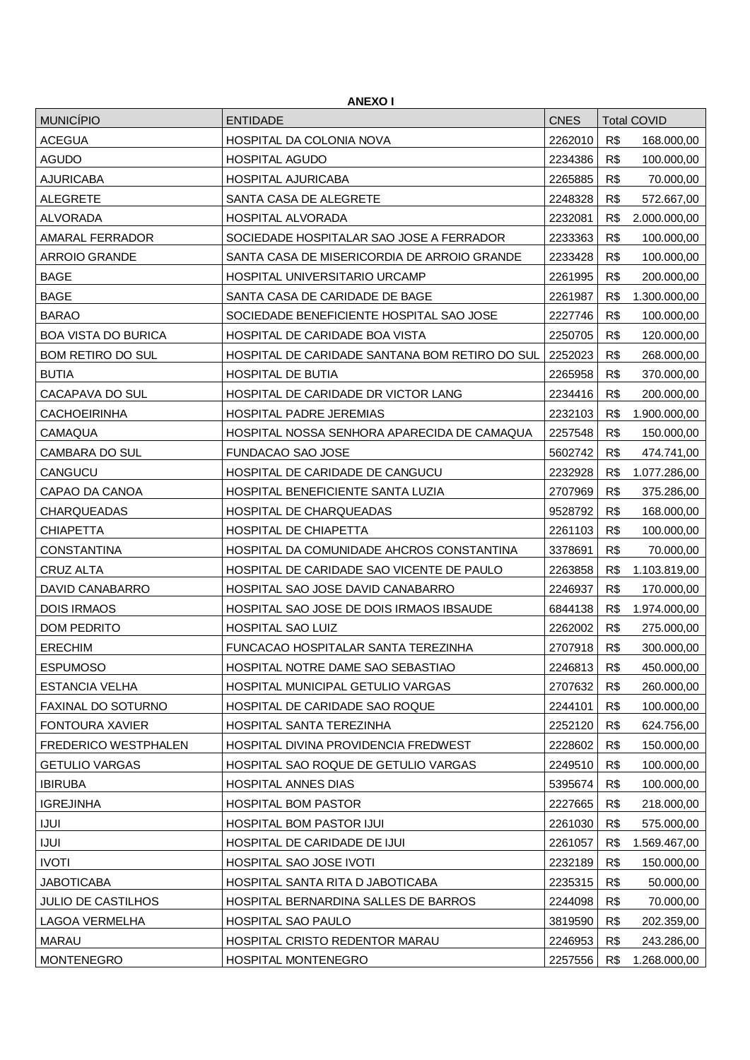| <b>ANEXOI</b>              |                                                |             |     |                    |  |
|----------------------------|------------------------------------------------|-------------|-----|--------------------|--|
| <b>MUNICÍPIO</b>           | <b>ENTIDADE</b>                                | <b>CNES</b> |     | <b>Total COVID</b> |  |
| <b>ACEGUA</b>              | HOSPITAL DA COLONIA NOVA                       | 2262010     | R\$ | 168.000,00         |  |
| <b>AGUDO</b>               | <b>HOSPITAL AGUDO</b>                          | 2234386     | R\$ | 100.000,00         |  |
| <b>AJURICABA</b>           | <b>HOSPITAL AJURICABA</b>                      | 2265885     | R\$ | 70.000,00          |  |
| <b>ALEGRETE</b>            | SANTA CASA DE ALEGRETE                         | 2248328     | R\$ | 572.667,00         |  |
| <b>ALVORADA</b>            | HOSPITAL ALVORADA                              | 2232081     | R\$ | 2.000.000,00       |  |
| AMARAL FERRADOR            | SOCIEDADE HOSPITALAR SAO JOSE A FERRADOR       | 2233363     | R\$ | 100.000,00         |  |
| <b>ARROIO GRANDE</b>       | SANTA CASA DE MISERICORDIA DE ARROIO GRANDE    | 2233428     | R\$ | 100.000,00         |  |
| <b>BAGE</b>                | HOSPITAL UNIVERSITARIO URCAMP                  | 2261995     | R\$ | 200.000,00         |  |
| <b>BAGE</b>                | SANTA CASA DE CARIDADE DE BAGE                 | 2261987     | R\$ | 1.300.000,00       |  |
| <b>BARAO</b>               | SOCIEDADE BENEFICIENTE HOSPITAL SAO JOSE       | 2227746     | R\$ | 100.000,00         |  |
| <b>BOA VISTA DO BURICA</b> | HOSPITAL DE CARIDADE BOA VISTA                 | 2250705     | R\$ | 120.000,00         |  |
| <b>BOM RETIRO DO SUL</b>   | HOSPITAL DE CARIDADE SANTANA BOM RETIRO DO SUL | 2252023     | R\$ | 268.000,00         |  |
| <b>BUTIA</b>               | HOSPITAL DE BUTIA                              | 2265958     | R\$ | 370.000,00         |  |
| CACAPAVA DO SUL            | HOSPITAL DE CARIDADE DR VICTOR LANG            | 2234416     | R\$ | 200.000,00         |  |
| <b>CACHOEIRINHA</b>        | <b>HOSPITAL PADRE JEREMIAS</b>                 | 2232103     | R\$ | 1.900.000,00       |  |
| <b>CAMAQUA</b>             | HOSPITAL NOSSA SENHORA APARECIDA DE CAMAQUA    | 2257548     | R\$ | 150.000,00         |  |
| CAMBARA DO SUL             | <b>FUNDACAO SAO JOSE</b>                       | 5602742     | R\$ | 474.741,00         |  |
| CANGUCU                    | HOSPITAL DE CARIDADE DE CANGUCU                | 2232928     | R\$ | 1.077.286,00       |  |
| CAPAO DA CANOA             | HOSPITAL BENEFICIENTE SANTA LUZIA              | 2707969     | R\$ | 375.286,00         |  |
| <b>CHARQUEADAS</b>         | HOSPITAL DE CHARQUEADAS                        | 9528792     | R\$ | 168.000,00         |  |
| <b>CHIAPETTA</b>           | HOSPITAL DE CHIAPETTA                          | 2261103     | R\$ | 100.000,00         |  |
| <b>CONSTANTINA</b>         | HOSPITAL DA COMUNIDADE AHCROS CONSTANTINA      | 3378691     | R\$ | 70.000,00          |  |
| <b>CRUZ ALTA</b>           | HOSPITAL DE CARIDADE SAO VICENTE DE PAULO      | 2263858     | R\$ | 1.103.819,00       |  |
| DAVID CANABARRO            | HOSPITAL SAO JOSE DAVID CANABARRO              | 2246937     | R\$ | 170.000,00         |  |
| <b>DOIS IRMAOS</b>         | HOSPITAL SAO JOSE DE DOIS IRMAOS IBSAUDE       | 6844138     | R\$ | 1.974.000,00       |  |
| <b>DOM PEDRITO</b>         | HOSPITAL SAO LUIZ                              | 2262002     | R\$ | 275.000,00         |  |
| <b>ERECHIM</b>             | FUNCACAO HOSPITALAR SANTA TEREZINHA            | 2707918     | R\$ | 300.000,00         |  |
| <b>ESPUMOSO</b>            | HOSPITAL NOTRE DAME SAO SEBASTIAO              | 2246813     | R\$ | 450.000,00         |  |
| ESTANCIA VELHA             | HOSPITAL MUNICIPAL GETULIO VARGAS              | 2707632     | R\$ | 260.000,00         |  |
| FAXINAL DO SOTURNO         | HOSPITAL DE CARIDADE SAO ROQUE                 | 2244101     | R\$ | 100.000,00         |  |
| <b>FONTOURA XAVIER</b>     | HOSPITAL SANTA TEREZINHA                       | 2252120     | R\$ | 624.756,00         |  |
| FREDERICO WESTPHALEN       | HOSPITAL DIVINA PROVIDENCIA FREDWEST           | 2228602     | R\$ | 150.000,00         |  |
| <b>GETULIO VARGAS</b>      | HOSPITAL SAO ROQUE DE GETULIO VARGAS           | 2249510     | R\$ | 100.000,00         |  |
| <b>IBIRUBA</b>             | <b>HOSPITAL ANNES DIAS</b>                     | 5395674     | R\$ | 100.000,00         |  |
| <b>IGREJINHA</b>           | <b>HOSPITAL BOM PASTOR</b>                     | 2227665     | R\$ | 218.000,00         |  |
| <b>IJUI</b>                | HOSPITAL BOM PASTOR IJUI                       | 2261030     | R\$ | 575.000,00         |  |
| <b>IJUI</b>                | HOSPITAL DE CARIDADE DE IJUI                   | 2261057     | R\$ | 1.569.467,00       |  |
| <b>IVOTI</b>               | HOSPITAL SAO JOSE IVOTI                        | 2232189     | R\$ | 150.000,00         |  |
| <b>JABOTICABA</b>          | HOSPITAL SANTA RITA D JABOTICABA               | 2235315     | R\$ | 50.000,00          |  |
| <b>JULIO DE CASTILHOS</b>  | HOSPITAL BERNARDINA SALLES DE BARROS           | 2244098     | R\$ | 70.000,00          |  |
| LAGOA VERMELHA             | HOSPITAL SAO PAULO                             | 3819590     | R\$ | 202.359,00         |  |
| <b>MARAU</b>               | HOSPITAL CRISTO REDENTOR MARAU                 | 2246953     | R\$ | 243.286,00         |  |
| <b>MONTENEGRO</b>          | HOSPITAL MONTENEGRO                            | 2257556     | R\$ | 1.268.000,00       |  |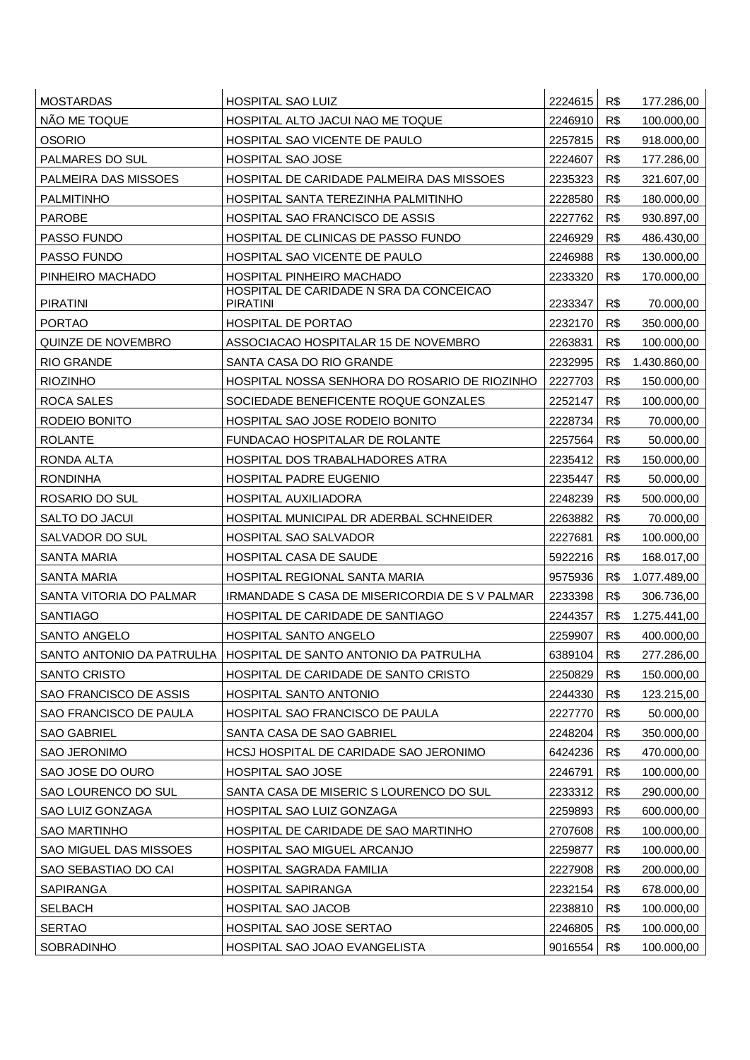| <b>MOSTARDAS</b>              | <b>HOSPITAL SAO LUIZ</b>                                          | 2224615 | R\$ | 177.286,00   |
|-------------------------------|-------------------------------------------------------------------|---------|-----|--------------|
| NÃO ME TOQUE                  | HOSPITAL ALTO JACUI NAO ME TOQUE                                  | 2246910 | R\$ | 100.000,00   |
| <b>OSORIO</b>                 | HOSPITAL SAO VICENTE DE PAULO                                     | 2257815 | R\$ | 918.000,00   |
| PALMARES DO SUL               | <b>HOSPITAL SAO JOSE</b>                                          | 2224607 | R\$ | 177.286,00   |
| PALMEIRA DAS MISSOES          | HOSPITAL DE CARIDADE PALMEIRA DAS MISSOES                         | 2235323 | R\$ | 321.607,00   |
| <b>PALMITINHO</b>             | HOSPITAL SANTA TEREZINHA PALMITINHO                               | 2228580 | R\$ | 180.000,00   |
| <b>PAROBE</b>                 | HOSPITAL SAO FRANCISCO DE ASSIS                                   | 2227762 | R\$ | 930.897,00   |
| PASSO FUNDO                   | HOSPITAL DE CLINICAS DE PASSO FUNDO                               | 2246929 | R\$ | 486.430,00   |
| PASSO FUNDO                   | HOSPITAL SAO VICENTE DE PAULO                                     | 2246988 | R\$ | 130.000,00   |
| PINHEIRO MACHADO              | HOSPITAL PINHEIRO MACHADO                                         | 2233320 | R\$ | 170.000,00   |
| <b>PIRATINI</b>               | HOSPITAL DE CARIDADE N SRA DA CONCEICAO<br><b>PIRATINI</b>        | 2233347 | R\$ | 70.000,00    |
| <b>PORTAO</b>                 | <b>HOSPITAL DE PORTAO</b>                                         | 2232170 | R\$ | 350.000,00   |
| QUINZE DE NOVEMBRO            | ASSOCIACAO HOSPITALAR 15 DE NOVEMBRO                              | 2263831 | R\$ | 100.000,00   |
| <b>RIO GRANDE</b>             | SANTA CASA DO RIO GRANDE                                          | 2232995 | R\$ | 1.430.860,00 |
| <b>RIOZINHO</b>               | HOSPITAL NOSSA SENHORA DO ROSARIO DE RIOZINHO                     | 2227703 | R\$ | 150.000,00   |
| ROCA SALES                    | SOCIEDADE BENEFICENTE ROQUE GONZALES                              | 2252147 | R\$ | 100.000,00   |
| RODEIO BONITO                 | HOSPITAL SAO JOSE RODEIO BONITO                                   | 2228734 | R\$ | 70.000,00    |
| <b>ROLANTE</b>                | FUNDACAO HOSPITALAR DE ROLANTE                                    | 2257564 | R\$ | 50.000,00    |
| RONDA ALTA                    | HOSPITAL DOS TRABALHADORES ATRA                                   | 2235412 | R\$ | 150.000,00   |
| <b>RONDINHA</b>               | <b>HOSPITAL PADRE EUGENIO</b>                                     | 2235447 | R\$ | 50.000,00    |
| ROSARIO DO SUL                | HOSPITAL AUXILIADORA                                              | 2248239 | R\$ | 500.000,00   |
| SALTO DO JACUI                | HOSPITAL MUNICIPAL DR ADERBAL SCHNEIDER                           | 2263882 | R\$ | 70.000,00    |
| SALVADOR DO SUL               | <b>HOSPITAL SAO SALVADOR</b>                                      | 2227681 | R\$ | 100.000,00   |
| <b>SANTA MARIA</b>            | HOSPITAL CASA DE SAUDE                                            | 5922216 | R\$ | 168.017,00   |
| <b>SANTA MARIA</b>            | HOSPITAL REGIONAL SANTA MARIA                                     | 9575936 | R\$ | 1.077.489,00 |
| SANTA VITORIA DO PALMAR       | IRMANDADE S CASA DE MISERICORDIA DE S V PALMAR                    | 2233398 | R\$ | 306.736,00   |
| <b>SANTIAGO</b>               | HOSPITAL DE CARIDADE DE SANTIAGO                                  | 2244357 | R\$ | 1.275.441,00 |
| SANTO ANGELO                  | <b>HOSPITAL SANTO ANGELO</b>                                      | 2259907 | R\$ | 400.000,00   |
|                               | SANTO ANTONIO DA PATRULHA   HOSPITAL DE SANTO ANTONIO DA PATRULHA | 6389104 | R\$ | 277.286,00   |
| <b>SANTO CRISTO</b>           | HOSPITAL DE CARIDADE DE SANTO CRISTO                              | 2250829 | R\$ | 150.000,00   |
| SAO FRANCISCO DE ASSIS        | HOSPITAL SANTO ANTONIO                                            | 2244330 | R\$ | 123.215,00   |
| SAO FRANCISCO DE PAULA        | HOSPITAL SAO FRANCISCO DE PAULA                                   | 2227770 | R\$ | 50.000,00    |
| <b>SAO GABRIEL</b>            | SANTA CASA DE SAO GABRIEL                                         | 2248204 | R\$ | 350.000,00   |
| SAO JERONIMO                  | HCSJ HOSPITAL DE CARIDADE SAO JERONIMO                            | 6424236 | R\$ | 470.000,00   |
| SAO JOSE DO OURO              | HOSPITAL SAO JOSE                                                 | 2246791 | R\$ | 100.000,00   |
| SAO LOURENCO DO SUL           | SANTA CASA DE MISERIC S LOURENCO DO SUL                           | 2233312 | R\$ | 290.000,00   |
| SAO LUIZ GONZAGA              | HOSPITAL SAO LUIZ GONZAGA                                         | 2259893 | R\$ | 600.000,00   |
| <b>SAO MARTINHO</b>           | HOSPITAL DE CARIDADE DE SAO MARTINHO                              | 2707608 | R\$ | 100.000,00   |
| <b>SAO MIGUEL DAS MISSOES</b> | HOSPITAL SAO MIGUEL ARCANJO                                       | 2259877 | R\$ | 100.000,00   |
| SAO SEBASTIAO DO CAI          | HOSPITAL SAGRADA FAMILIA                                          | 2227908 | R\$ | 200.000,00   |
| <b>SAPIRANGA</b>              | <b>HOSPITAL SAPIRANGA</b>                                         | 2232154 | R\$ | 678.000,00   |
| <b>SELBACH</b>                | HOSPITAL SAO JACOB                                                | 2238810 | R\$ | 100.000,00   |
| <b>SERTAO</b>                 | HOSPITAL SAO JOSE SERTAO                                          | 2246805 | R\$ | 100.000,00   |
| SOBRADINHO                    | HOSPITAL SAO JOAO EVANGELISTA                                     | 9016554 | R\$ | 100.000,00   |